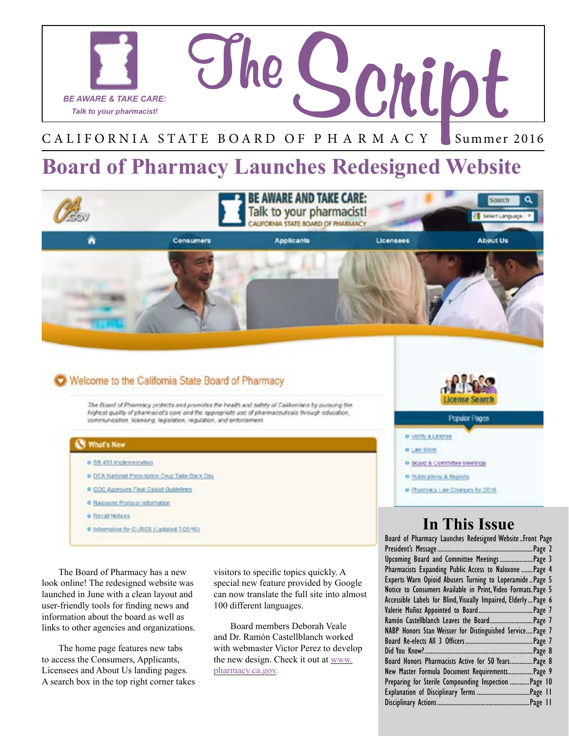

#### CALIFORNIA STATE BOARD OF PHARMACY Summer 2016

### **Board of Pharmacy Launches Redesigned Website**



### Welcome to the California State Board of Pharmacy

The Board of Pharmacy protects and promotes the health and safety of Californians by pursuing the highest quality of pharmaciat's core and the appropriate use of pharmaceuticals through education, communication, ficensing, legislation, regulation, and enforcement.

#### What's New

- o \$8.493 Inclementation
- a DEA National Prescription Drug Take-Back Day
- CDC Approves Final Opioid Guidelines
- C Nascione Protocol Information
- **o** Recall Notices
- 6 Information for CURES (Updated 7/25/16)

The Board of Pharmacy has a new look online! The redesigned website was launched in June with a clean layout and user-friendly tools for finding news and information about the board as well as links to other agencies and organizations.

The home page features new tabs to access the Consumers, Applicants, Licensees and About Us landing pages. A search box in the top right corner takes visitors to specific topics quickly. A special new feature provided by Google can now translate the full site into almost 100 different languages.

Board members Deborah Veale and Dr. Ramón Castellblanch worked with webmaster Victor Perez to develop the new design. Check it out at www. [pharmacy.ca.gov.](http://www.pharmacy.ca.gov)

#### Popular Pages

- o Verty a Liberse
- **O Law Book**
- o iscard & Committee Meetings
- o Bublcations & Reports
- · Pharmacy Law Changes for 2016

### **In This Issue**

Board of Pharmacy Launches Redesigned Website..Front Page [President's Message..........................................................Page 2](#page-1-0) [Upcoming Board and Committee Meetings](#page-2-0) ....................Page 3 [Pharmacists Expanding Public Access to Naloxone](#page-3-0) .......Page 4 [Experts Warn Opioid Abusers Turning to Loperamide..Page 5](#page-4-0) Notice to Consumers Available in Print, Video Formats. Page 5 Accessible Labels for Blind, Visually Impaired, Elderly...Page 6 [Valerie Muñoz Appointed to Board.................................Page 7](#page-6-0) [Ramón Castellblanch Leaves the Board..........................Page 7](#page-6-0) [NABP Honors Stan Weisser for Distinguished Service....Page 7](#page-6-0) Board Re-elects All 3 Officers[.........................................Page 7](#page-6-0) [Did You Know?..................................................................Page 8](#page-7-0) [Board Honors Pharmacists Active for 50 Years..............Page 8](#page-7-0) [New Master Formula Document Requirements...............Page 9](#page-8-0) [Preparing for Sterile Compounding Inspection............Page 10](#page-9-0) [Explanation of Disciplinary Terms ................................Page 11](#page-10-0) [Disciplinary Actions........................................................Page 11](#page-10-0)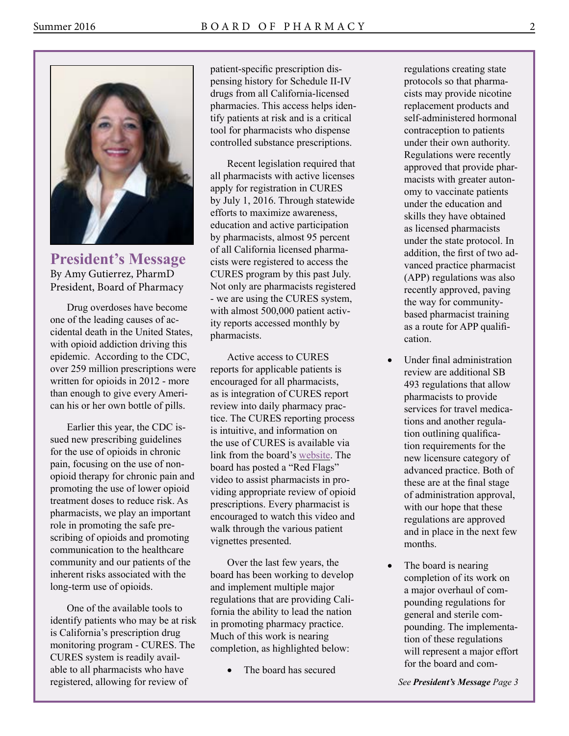<span id="page-1-0"></span>

**President's Message**  By Amy Gutierrez, PharmD President, Board of Pharmacy

Drug overdoses have become one of the leading causes of accidental death in the United States, with opioid addiction driving this epidemic. According to the CDC, over 259 million prescriptions were written for opioids in 2012 - more than enough to give every American his or her own bottle of pills.

Earlier this year, the CDC issued new prescribing guidelines for the use of opioids in chronic pain, focusing on the use of nonopioid therapy for chronic pain and promoting the use of lower opioid treatment doses to reduce risk. As pharmacists, we play an important role in promoting the safe prescribing of opioids and promoting communication to the healthcare community and our patients of the inherent risks associated with the long-term use of opioids.

One of the available tools to identify patients who may be at risk is California's prescription drug monitoring program - CURES. The CURES system is readily available to all pharmacists who have registered, allowing for review of

patient-specific prescription dispensing history for Schedule II-IV drugs from all California-licensed pharmacies. This access helps identify patients at risk and is a critical tool for pharmacists who dispense controlled substance prescriptions.

Recent legislation required that all pharmacists with active licenses apply for registration in CURES by July 1, 2016. Through statewide efforts to maximize awareness, education and active participation by pharmacists, almost 95 percent of all California licensed pharmacists were registered to access the CURES program by this past July. Not only are pharmacists registered - we are using the CURES system, with almost 500,000 patient activity reports accessed monthly by pharmacists.

Active access to CURES reports for applicable patients is encouraged for all pharmacists, as is integration of CURES report review into daily pharmacy practice. The CURES reporting process is intuitive, and information on the use of CURES is available via link from the board's [website](http://www.pharmacy.ca.gov/licensees/cures.shtml). The board has posted a "Red Flags" video to assist pharmacists in providing appropriate review of opioid prescriptions. Every pharmacist is encouraged to watch this video and walk through the various patient vignettes presented.

Over the last few years, the board has been working to develop and implement multiple major regulations that are providing California the ability to lead the nation in promoting pharmacy practice. Much of this work is nearing completion, as highlighted below:

The board has secured

regulations creating state protocols so that pharmacists may provide nicotine replacement products and self-administered hormonal contraception to patients under their own authority. Regulations were recently approved that provide pharmacists with greater autonomy to vaccinate patients under the education and skills they have obtained as licensed pharmacists under the state protocol. In addition, the first of two advanced practice pharmacist (APP) regulations was also recently approved, paving the way for communitybased pharmacist training as a route for APP qualification.

- Under final administration review are additional SB 493 regulations that allow pharmacists to provide services for travel medications and another regulation outlining qualification requirements for the new licensure category of advanced practice. Both of these are at the final stage of administration approval, with our hope that these regulations are approved and in place in the next few months.
- The board is nearing completion of its work on a major overhaul of compounding regulations for general and sterile compounding. The implementation of these regulations will represent a major effort for the board and com-

*See President's Message Page 3*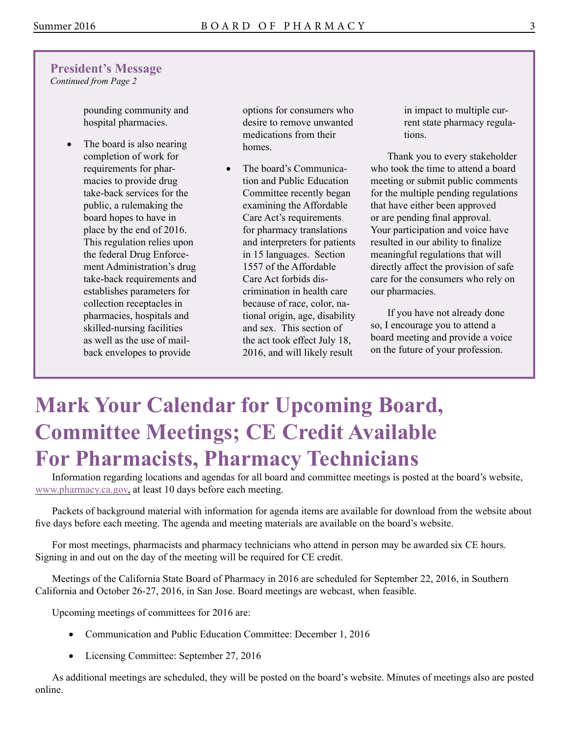### <span id="page-2-0"></span>**President's Message**

*Continued from Page 2* 

pounding community and hospital pharmacies.

The board is also nearing completion of work for requirements for pharmacies to provide drug take-back services for the public, a rulemaking the board hopes to have in place by the end of 2016. This regulation relies upon the federal Drug Enforcement Administration's drug take-back requirements and establishes parameters for collection receptacles in pharmacies, hospitals and skilled-nursing facilities as well as the use of mailback envelopes to provide

options for consumers who desire to remove unwanted medications from their homes.

The board's Communication and Public Education Committee recently began examining the Affordable Care Act's requirements for pharmacy translations and interpreters for patients in 15 languages. Section 1557 of the Affordable Care Act forbids discrimination in health care because of race, color, national origin, age, disability and sex. This section of the act took effect July 18, 2016, and will likely result

in impact to multiple current state pharmacy regulations.

Thank you to every stakeholder who took the time to attend a board meeting or submit public comments for the multiple pending regulations that have either been approved or are pending final approval. Your participation and voice have resulted in our ability to finalize meaningful regulations that will directly affect the provision of safe care for the consumers who rely on our pharmacies.

If you have not already done so, I encourage you to attend a board meeting and provide a voice on the future of your profession.

# **Mark Your Calendar for Upcoming Board, Committee Meetings; CE Credit Available For Pharmacists, Pharmacy Technicians**

Information regarding locations and agendas for all board and committee meetings is posted at the board's website, [www.pharmacy.ca.gov,](http://www.pharmacy.ca.gov/) at least 10 days before each meeting.

Packets of background material with information for agenda items are available for download from the website about five days before each meeting. The agenda and meeting materials are available on the board's website.

For most meetings, pharmacists and pharmacy technicians who attend in person may be awarded six CE hours. Signing in and out on the day of the meeting will be required for CE credit.

Meetings of the California State Board of Pharmacy in 2016 are scheduled for September 22, 2016, in Southern California and October 26-27, 2016, in San Jose. Board meetings are webcast, when feasible.

Upcoming meetings of committees for 2016 are:

- Communication and Public Education Committee: December 1, 2016
- Licensing Committee: September 27, 2016

As additional meetings are scheduled, they will be posted on the board's website. Minutes of meetings also are posted online.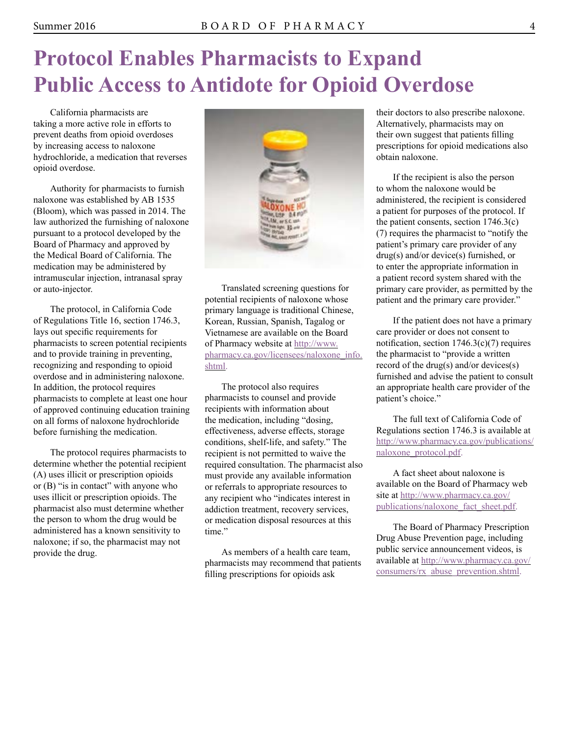# <span id="page-3-0"></span>**Protocol Enables Pharmacists to Expand Public Access to Antidote for Opioid Overdose**

California pharmacists are taking a more active role in efforts to prevent deaths from opioid overdoses by increasing access to naloxone hydrochloride, a medication that reverses opioid overdose.

Authority for pharmacists to furnish naloxone was established by AB 1535 (Bloom), which was passed in 2014. The law authorized the furnishing of naloxone pursuant to a protocol developed by the Board of Pharmacy and approved by the Medical Board of California. The medication may be administered by intramuscular injection, intranasal spray or auto-injector.

The protocol, in California Code of Regulations Title 16, section 1746.3, lays out specific requirements for pharmacists to screen potential recipients and to provide training in preventing, recognizing and responding to opioid overdose and in administering naloxone. In addition, the protocol requires pharmacists to complete at least one hour of approved continuing education training on all forms of naloxone hydrochloride before furnishing the medication.

The protocol requires pharmacists to determine whether the potential recipient (A) uses illicit or prescription opioids or (B) "is in contact" with anyone who uses illicit or prescription opioids. The pharmacist also must determine whether the person to whom the drug would be administered has a known sensitivity to naloxone; if so, the pharmacist may not provide the drug.



Translated screening questions for potential recipients of naloxone whose primary language is traditional Chinese, Korean, Russian, Spanish, Tagalog or Vietnamese are available on the Board of Pharmacy website at [http://www.](http://www.pharmacy.ca.gov/licensees/naloxone_info.shtml)  [pharmacy.ca.gov/licensees/naloxone\\_info.](http://www.pharmacy.ca.gov/licensees/naloxone_info.shtml) [shtml.](http://www.pharmacy.ca.gov/licensees/naloxone_info.shtml) 

The protocol also requires pharmacists to counsel and provide recipients with information about the medication, including "dosing, effectiveness, adverse effects, storage conditions, shelf-life, and safety." The recipient is not permitted to waive the required consultation. The pharmacist also must provide any available information or referrals to appropriate resources to any recipient who "indicates interest in addiction treatment, recovery services, or medication disposal resources at this time."

As members of a health care team, pharmacists may recommend that patients filling prescriptions for opioids ask

their doctors to also prescribe naloxone. Alternatively, pharmacists may on their own suggest that patients filling prescriptions for opioid medications also obtain naloxone.

If the recipient is also the person to whom the naloxone would be administered, the recipient is considered a patient for purposes of the protocol. If the patient consents, section 1746.3(c) (7) requires the pharmacist to "notify the patient's primary care provider of any drug(s) and/or device(s) furnished, or to enter the appropriate information in a patient record system shared with the primary care provider, as permitted by the patient and the primary care provider."

If the patient does not have a primary care provider or does not consent to notification, section 1746.3(c)(7) requires the pharmacist to "provide a written record of the drug(s) and/or devices(s) furnished and advise the patient to consult an appropriate health care provider of the patient's choice."

The full text of California Code of Regulations section 1746.3 is available at [http://www.pharmacy.ca.gov/publications/](http://www.pharmacy.ca.gov/publications/naloxone_protocol.pdf) [naloxone\\_protocol.pdf.](http://www.pharmacy.ca.gov/publications/naloxone_protocol.pdf)

A fact sheet about naloxone is available on the Board of Pharmacy web site at [http://www.pharmacy.ca.gov/](http://www.pharmacy.ca.gov/publications/naloxone_fact_sheet.pdf)  [publications/naloxone\\_fact\\_sheet.pdf.](http://www.pharmacy.ca.gov/publications/naloxone_fact_sheet.pdf)

The Board of Pharmacy Prescription Drug Abuse Prevention page, including public service announcement videos, is available at [http://www.pharmacy.ca.gov/](http://www.pharmacy.ca.gov/consumers/rx_abuse_prevention.shtml) [consumers/rx\\_abuse\\_prevention.shtml](http://www.pharmacy.ca.gov/consumers/rx_abuse_prevention.shtml).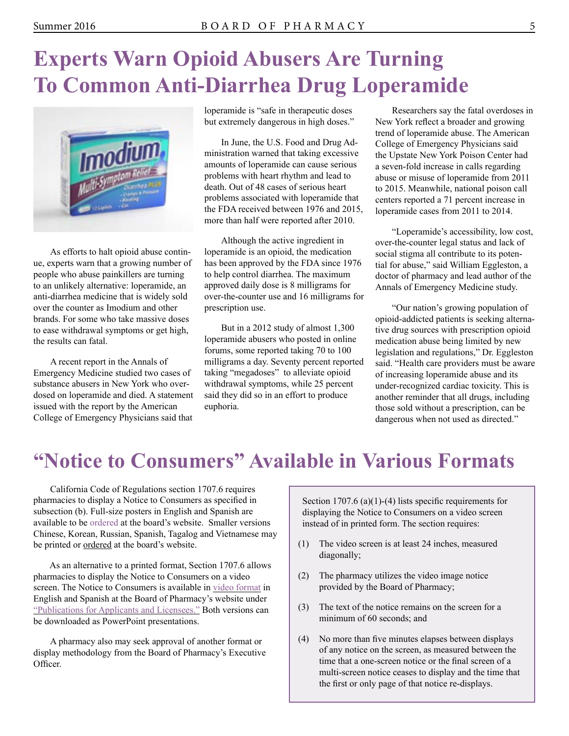# <span id="page-4-0"></span>**Experts Warn Opioid Abusers Are Turning To Common Anti-Diarrhea Drug Loperamide**



As efforts to halt opioid abuse continue, experts warn that a growing number of people who abuse painkillers are turning to an unlikely alternative: loperamide, an anti-diarrhea medicine that is widely sold over the counter as Imodium and other brands. For some who take massive doses to ease withdrawal symptoms or get high, the results can fatal.

A recent report in the Annals of Emergency Medicine studied two cases of substance abusers in New York who overdosed on loperamide and died. A statement issued with the report by the American College of Emergency Physicians said that

loperamide is "safe in therapeutic doses but extremely dangerous in high doses."

In June, the U.S. Food and Drug Administration warned that taking excessive amounts of loperamide can cause serious problems with heart rhythm and lead to death. Out of 48 cases of serious heart problems associated with loperamide that the FDA received between 1976 and 2015, more than half were reported after 2010.

Although the active ingredient in loperamide is an opioid, the medication has been approved by the FDA since 1976 to help control diarrhea. The maximum approved daily dose is 8 milligrams for over-the-counter use and 16 milligrams for prescription use.

But in a 2012 study of almost 1,300 loperamide abusers who posted in online forums, some reported taking 70 to 100 milligrams a day. Seventy percent reported taking "megadoses" to alleviate opioid withdrawal symptoms, while 25 percent said they did so in an effort to produce euphoria.

Researchers say the fatal overdoses in New York reflect a broader and growing trend of loperamide abuse. The American College of Emergency Physicians said the Upstate New York Poison Center had a seven-fold increase in calls regarding abuse or misuse of loperamide from 2011 to 2015. Meanwhile, national poison call centers reported a 71 percent increase in loperamide cases from 2011 to 2014.

"Loperamide's accessibility, low cost, over-the-counter legal status and lack of social stigma all contribute to its potential for abuse," said William Eggleston, a doctor of pharmacy and lead author of the Annals of Emergency Medicine study.

"Our nation's growing population of opioid-addicted patients is seeking alternative drug sources with prescription opioid medication abuse being limited by new legislation and regulations," Dr. Eggleston said. "Health care providers must be aware of increasing loperamide abuse and its under-recognized cardiac toxicity. This is another reminder that all drugs, including those sold without a prescription, can be dangerous when not used as directed."

### **"Notice to Consumers" Available in Various Formats**

California Code of Regulations section 1707.6 requires pharmacies to display a Notice to Consumers as specified in subsection (b). Full-size posters in English and Spanish are available to be [ordered](https://www.dca.ca.gov/webapps/pharmacy/pubs_request.php) at the board's website. Smaller versions Chinese, Korean, Russian, Spanish, Tagalog and Vietnamese may be printed or [ordered](https://www.dca.ca.gov/webapps/pharmacy/pubs_request.php) at the board's website.

As an alternative to a printed format, Section 1707.6 allows pharmacies to display the Notice to Consumers on a video screen. The Notice to Consumers is available in [video format](http://www.pharmacy.ca.gov/publications/ntc.shtml) in English and Spanish at the Board of Pharmacy's website under ["Publications for Applicants and Licensees."](http://www.pharmacy.ca.gov/publications/pubs_for_licensees.shtml) Both versions can be downloaded as PowerPoint presentations.

A pharmacy also may seek approval of another format or display methodology from the Board of Pharmacy's Executive Officer.

Section 1707.6 (a)(1)-(4) lists specific requirements for displaying the Notice to Consumers on a video screen instead of in printed form. The section requires:

- (1) The video screen is at least 24 inches, measured diagonally;
- (2) The pharmacy utilizes the video image notice provided by the Board of Pharmacy;
- (3) The text of the notice remains on the screen for a minimum of 60 seconds; and
- (4) No more than five minutes elapses between displays of any notice on the screen, as measured between the time that a one-screen notice or the final screen of a multi-screen notice ceases to display and the time that the first or only page of that notice re-displays.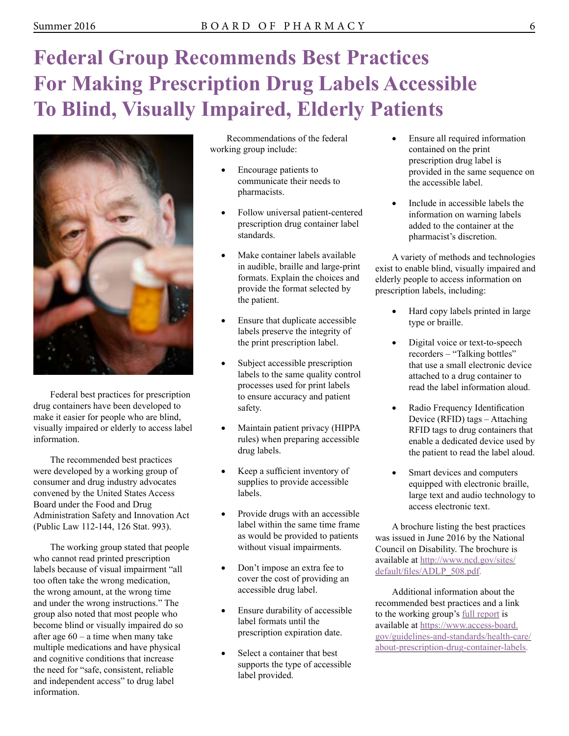# <span id="page-5-0"></span>**Federal Group Recommends Best Practices For Making Prescription Drug Labels Accessible To Blind, Visually Impaired, Elderly Patients**



Federal best practices for prescription drug containers have been developed to make it easier for people who are blind, visually impaired or elderly to access label information.

The recommended best practices were developed by a working group of consumer and drug industry advocates convened by the United States Access Board under the Food and Drug Administration Safety and Innovation Act (Public Law 112-144, 126 Stat. 993).

The working group stated that people who cannot read printed prescription labels because of visual impairment "all too often take the wrong medication, the wrong amount, at the wrong time and under the wrong instructions." The group also noted that most people who become blind or visually impaired do so after age  $60 - a$  time when many take multiple medications and have physical and cognitive conditions that increase the need for "safe, consistent, reliable and independent access" to drug label information.

Recommendations of the federal working group include:

- Encourage patients to communicate their needs to pharmacists.
- Follow universal patient-centered prescription drug container label standards.
- Make container labels available in audible, braille and large-print formats. Explain the choices and provide the format selected by the patient.
- Ensure that duplicate accessible labels preserve the integrity of the print prescription label.
- Subject accessible prescription labels to the same quality control processes used for print labels to ensure accuracy and patient safety.
- Maintain patient privacy (HIPPA rules) when preparing accessible drug labels.
- Keep a sufficient inventory of supplies to provide accessible labels.
- Provide drugs with an accessible label within the same time frame as would be provided to patients without visual impairments.
- Don't impose an extra fee to cover the cost of providing an accessible drug label.
- Ensure durability of accessible label formats until the prescription expiration date.
- Select a container that best supports the type of accessible label provided.
- Ensure all required information contained on the print prescription drug label is provided in the same sequence on the accessible label.
- Include in accessible labels the information on warning labels added to the container at the pharmacist's discretion.

A variety of methods and technologies exist to enable blind, visually impaired and elderly people to access information on prescription labels, including:

- Hard copy labels printed in large type or braille.
- Digital voice or text-to-speech recorders – "Talking bottles" that use a small electronic device attached to a drug container to read the label information aloud.
- Radio Frequency Identification Device (RFID) tags – Attaching RFID tags to drug containers that enable a dedicated device used by the patient to read the label aloud.
- Smart devices and computers equipped with electronic braille, large text and audio technology to access electronic text.

A brochure listing the best practices was issued in June 2016 by the National Council on Disability. The brochure is available at [http://www.ncd.gov/sites/](http://www.ncd.gov/sites/default/files/ADLP_508.pdf) [default/files/ADLP\\_508.pdf](http://www.ncd.gov/sites/default/files/ADLP_508.pdf).

Additional information about the recommended best practices and a link to the working group's [full report](https://www.access-board.gov/guidelines-and-standards/health-care/about-prescription-drug-container-labels/working-group-recommendations) is available at [https://www.access-board.](https://www.access-board.gov/guidelines-and-standards/health-care/about-prescription-drug-container-labels)  [gov/guidelines-and-standards/health-care/](https://www.access-board.gov/guidelines-and-standards/health-care/about-prescription-drug-container-labels)  [about-prescription-drug-container-labels.](https://www.access-board.gov/guidelines-and-standards/health-care/about-prescription-drug-container-labels)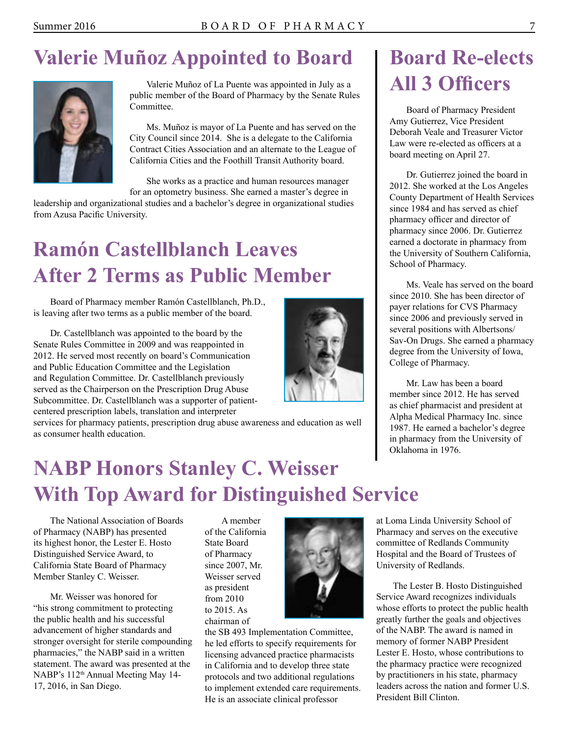### <span id="page-6-0"></span>**Valerie Muñoz Appointed to Board**



Valerie Muñoz of La Puente was appointed in July as a public member of the Board of Pharmacy by the Senate Rules Committee.

Ms. Muñoz is mayor of La Puente and has served on the City Council since 2014. She is a delegate to the California Contract Cities Association and an alternate to the League of California Cities and the Foothill Transit Authority board.

She works as a practice and human resources manager

for an optometry business. She earned a master's degree in leadership and organizational studies and a bachelor's degree in organizational studies from Azusa Pacific University.

# **Ramón Castellblanch Leaves After 2 Terms as Public Member**

Board of Pharmacy member Ramón Castellblanch, Ph.D., is leaving after two terms as a public member of the board.

Dr. Castellblanch was appointed to the board by the Senate Rules Committee in 2009 and was reappointed in 2012. He served most recently on board's Communication and Public Education Committee and the Legislation and Regulation Committee. Dr. Castellblanch previously served as the Chairperson on the Prescription Drug Abuse Subcommittee. Dr. Castellblanch was a supporter of patientcentered prescription labels, translation and interpreter



services for pharmacy patients, prescription drug abuse awareness and education as well as consumer health education.

# **NABP Honors Stanley C. Weisser With Top Award for Distinguished Service**

The National Association of Boards of Pharmacy (NABP) has presented its highest honor, the Lester E. Hosto Distinguished Service Award, to California State Board of Pharmacy Member Stanley C. Weisser.

Mr. Weisser was honored for "his strong commitment to protecting the public health and his successful advancement of higher standards and stronger oversight for sterile compounding pharmacies," the NABP said in a written statement. The award was presented at the NABP's 112<sup>th</sup> Annual Meeting May 14-17, 2016, in San Diego.

A member of the California State Board of Pharmacy since 2007, Mr. Weisser served as president from 2010 to 2015. As chairman of



the SB 493 Implementation Committee, he led efforts to specify requirements for licensing advanced practice pharmacists in California and to develop three state protocols and two additional regulations to implement extended care requirements. He is an associate clinical professor

# **Board Re-elects All 3 Officers**

Board of Pharmacy President Amy Gutierrez, Vice President Deborah Veale and Treasurer Victor Law were re-elected as officers at a board meeting on April 27.

Dr. Gutierrez joined the board in 2012. She worked at the Los Angeles County Department of Health Services since 1984 and has served as chief pharmacy officer and director of pharmacy since 2006. Dr. Gutierrez earned a doctorate in pharmacy from the University of Southern California, School of Pharmacy.

Ms. Veale has served on the board since 2010. She has been director of payer relations for CVS Pharmacy since 2006 and previously served in several positions with Albertsons/ Sav-On Drugs. She earned a pharmacy degree from the University of Iowa, College of Pharmacy.

Mr. Law has been a board member since 2012. He has served as chief pharmacist and president at Alpha Medical Pharmacy Inc. since 1987. He earned a bachelor's degree in pharmacy from the University of Oklahoma in 1976.

at Loma Linda University School of Pharmacy and serves on the executive committee of Redlands Community Hospital and the Board of Trustees of University of Redlands.

The Lester B. Hosto Distinguished Service Award recognizes individuals whose efforts to protect the public health greatly further the goals and objectives of the NABP. The award is named in memory of former NABP President Lester E. Hosto, whose contributions to the pharmacy practice were recognized by practitioners in his state, pharmacy leaders across the nation and former U.S. President Bill Clinton.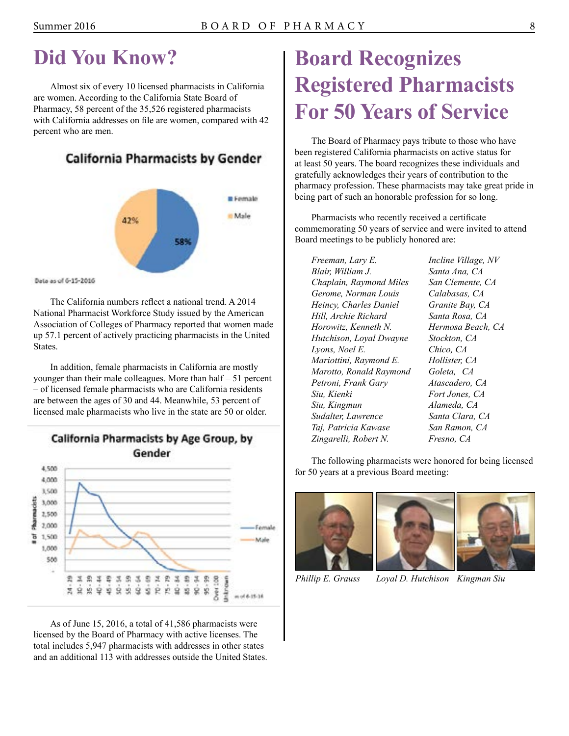# <span id="page-7-0"></span>**Did You Know?**

Almost six of every 10 licensed pharmacists in California are women. According to the California State Board of Pharmacy, 58 percent of the 35,526 registered pharmacists with California addresses on file are women, compared with 42 percent who are men.

### California Pharmacists by Gender



Data as of 6-15-2016

The California numbers reflect a national trend. A 2014 National Pharmacist Workforce Study issued by the American Association of Colleges of Pharmacy reported that women made up 57.1 percent of actively practicing pharmacists in the United States.

In addition, female pharmacists in California are mostly younger than their male colleagues. More than half – 51 percent – of licensed female pharmacists who are California residents are between the ages of 30 and 44. Meanwhile, 53 percent of licensed male pharmacists who live in the state are 50 or older.



As of June 15, 2016, a total of 41,586 pharmacists were licensed by the Board of Pharmacy with active licenses. The total includes 5,947 pharmacists with addresses in other states and an additional 113 with addresses outside the United States.

# **Board Recognizes Registered Pharmacists For 50 Years of Service**

The Board of Pharmacy pays tribute to those who have been registered California pharmacists on active status for at least 50 years. The board recognizes these individuals and gratefully acknowledges their years of contribution to the pharmacy profession. These pharmacists may take great pride in being part of such an honorable profession for so long.

Pharmacists who recently received a certificate commemorating 50 years of service and were invited to attend Board meetings to be publicly honored are:

 *Hill, Archie Richard Santa Rosa, CA Lyons, Noel E. Chico, CA Marotto, Ronald Raymond Goleta, CA Petroni, Frank Gary Atascadero, CA*  Siu, Kienki  *Siu, Kingmun Alameda, CA Sudalter, Lawrence Santa Clara, CA Taj, Patricia Kawase San Ramon, CA Zingarelli, Robert N. Fresno, CA Freeman, Lary E. Incline Village, NV Blair, William J. Santa Ana, CA Chaplain, Raymond Miles San Clemente, CA Gerome, Norman Louis Calabasas, CA Heincy, Charles Daniel Granite Bay, CA Horowitz, Kenneth N. Hermosa Beach, CA Hutchison, Loyal Dwayne Stockton, CA Mariottini, Raymond E. Hollister, CA* 

 $Fort Jones, CA$ 

The following pharmacists were honored for being licensed for 50 years at a previous Board meeting:



*Phillip E. Grauss Loyal D. Hutchison Kingman Siu*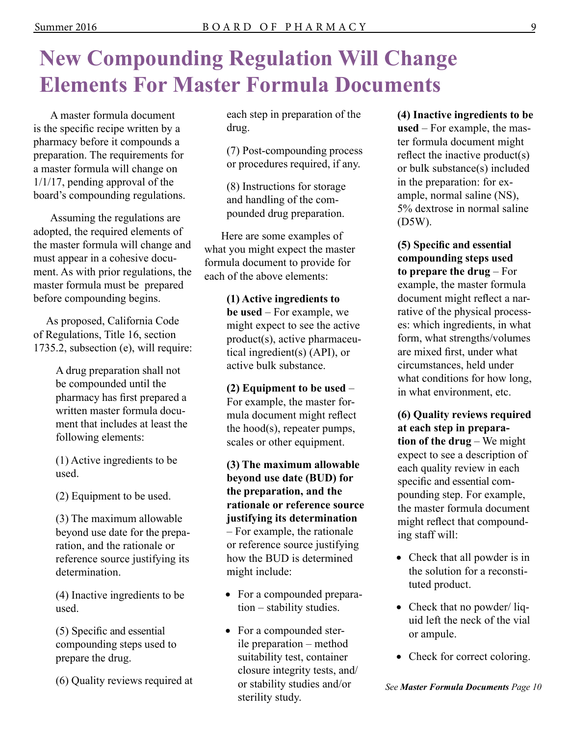# <span id="page-8-0"></span>**New Compounding Regulation Will Change Elements For Master Formula Documents**

A master formula document is the specific recipe written by a pharmacy before it compounds a preparation. The requirements for a master formula will change on 1/1/17, pending approval of the board's compounding regulations.

Assuming the regulations are adopted, the required elements of the master formula will change and must appear in a cohesive document. As with prior regulations, the master formula must be prepared before compounding begins.

As proposed, California Code of Regulations, Title 16, section 1735.2, subsection (e), will require:

> A drug preparation shall not be compounded until the pharmacy has first prepared a written master formula document that includes at least the following elements:

(1) Active ingredients to be used.

(2) Equipment to be used.

 beyond use date for the prepa-(3) The maximum allowable ration, and the rationale or reference source justifying its determination.

(4) Inactive ingredients to be used.

 compounding steps used to (5) Specific and essential prepare the drug.

(6) Quality reviews required at

each step in preparation of the drug.

(7) Post-compounding process or procedures required, if any.

(8) Instructions for storage and handling of the compounded drug preparation.

Here are some examples of what you might expect the master formula document to provide for each of the above elements:

> **(1) Active ingredients to be used** – For example, we might expect to see the active product(s), active pharmaceutical ingredient(s) (API), or active bulk substance.

 **(2) Equipment to be used** – For example, the master formula document might reflect the hood(s), repeater pumps, scales or other equipment.

**(3) The maximum allowable beyond use date (BUD) for the preparation, and the rationale or reference source justifying its determination**  – For example, the rationale or reference source justifying how the BUD is determined might include:

- For a compounded preparation – stability studies.
- For a compounded sterile preparation – method suitability test, container closure integrity tests, and/ or stability studies and/or sterility study.

**(4) Inactive ingredients to be used** – For example, the master formula document might reflect the inactive product(s) or bulk substance(s) included in the preparation: for example, normal saline (NS), 5% dextrose in normal saline (D5W).

 **to prepare the drug** – For **(5) Specific and essential compounding steps used**  example, the master formula document might reflect a narrative of the physical processes: which ingredients, in what form, what strengths/volumes are mixed first, under what circumstances, held under what conditions for how long, in what environment, etc.

 **tion of the drug** – We might **(6) Quality reviews required at each step in prepara**expect to see a description of each quality review in each specific and essential compounding step. For example, the master formula document might reflect that compounding staff will:

- Check that all powder is in the solution for a reconstituted product.
- Check that no powder/ liquid left the neck of the vial or ampule.
- Check for correct coloring.

*See Master Formula Documents Page 10*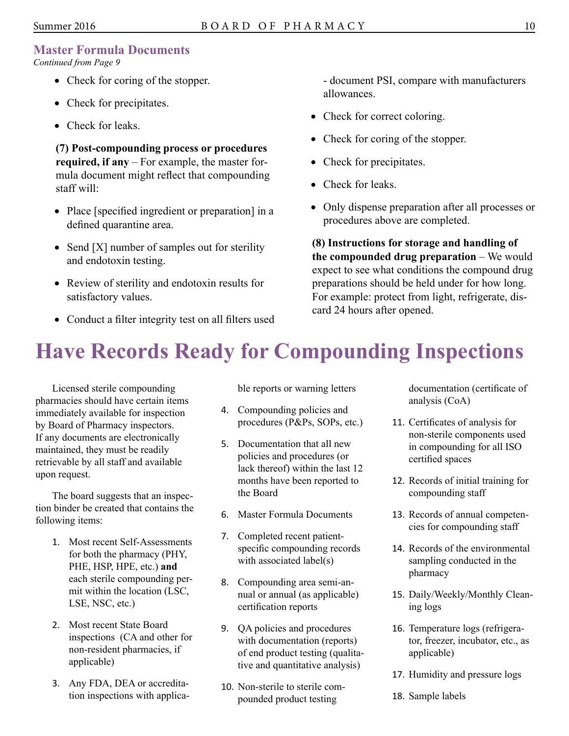### <span id="page-9-0"></span>**Master Formula Documents**

*Continued from Page 9* 

- Check for coring of the stopper.
- Check for precipitates.
- Check for leaks.

**(7) Post-compounding process or procedures required, if any** – For example, the master formula document might reflect that compounding staff will:

- Place [specified ingredient or preparation] in a defined quarantine area.
- Send [X] number of samples out for sterility and endotoxin testing.
- Review of sterility and endotoxin results for satisfactory values.
- Conduct a filter integrity test on all filters used

- document PSI, compare with manufacturers allowances.

- Check for correct coloring.
- Check for coring of the stopper.
- Check for precipitates.
- Check for leaks.
- Only dispense preparation after all processes or procedures above are completed.

**(8) Instructions for storage and handling of the compounded drug preparation** – We would expect to see what conditions the compound drug preparations should be held under for how long. For example: protect from light, refrigerate, discard 24 hours after opened.

# **Have Records Ready for Compounding Inspections**

Licensed sterile compounding ble reports or warning letters documentation (certificate of pharmacies should have certain items analysis (CoA) analysis (CoA) analysis (CoA) analysis (CoA) immediately available for inspection and the Compounding policies and<br>hy Board of Pharmacy inspectors procedures (P&Ps, SOPs, etc.) by Board of Pharmacy inspectors. procedures (P&Ps, SOPs, etc.) 11. Certificates of analysis for<br>the procedure of analysis for by Board of Pharmacy inspectors.<br>If any documents are electronically If any documents are electronically and ISO maintained, they must be readily in compounding for all ISO policies and procedures (or principal policies and procedures (or  $\frac{1}{1-\frac{1}{1-\frac{1}{1-\frac{1}{1-\frac{1}{1-\frac{1}{1-\frac{1}{1-\frac{1}{1-\frac{$ 

tion binder be created that contains the 6. Master Formula Documents 13. Records of annual competen-<br>following items: 6. Master Formula Documents 13. Records of annual competen-<br>cies for compounding staff

- 1. Most recent Self-Assessments<br>
for both the pharmacy (PHY,<br>
PHE, HSP, HPE, etc.) and<br>
each sterile compounding per-<br>
mit within the location (LSC,<br>
LSE, NSC, etc.)<br>
LSE, NSC, etc.)<br>
and<br>  $\begin{array}{ccc}\n & 3. & \text{Compounding area semi-an-  
\nunit within the location ($
- 
- 3. Any FDA, DEA or accredita-<br>tion inspections with applica-<br>pounded product testing 18. Sample labels

- 
- maintained, they mast be retainly<br>retrievable by all staff and available lack thereof) within the last 12<br>upon request. months have been reported to 12. Records of initial training for The board suggests that an inspec-<br>the Board compounding staff compounding staff
	-
	-
	-
	- 2. Most recent State Board<br>
	inspections (CA and other for<br>
	non-resident pharmacies, if<br>
	applicable)<br>  $\begin{array}{ccc}\n 9. & QA policies and procedures \\
	 16. Temperature logs (refrigera-  
	\nion-resident pharmacies, if  
	\napplicable)\n\end{array}$ <br>  $\begin{array}{ccc}\n 9. & QA policies and procedures\n 17. & Temperature logs (refrigera-  
	\ntor, freeze, incubator, etc., as  
	\napplicable)\n\end{array}$ 
		-

- 
- 
- 
- 
- 
- 
- 17. Humidity and pressure logs
-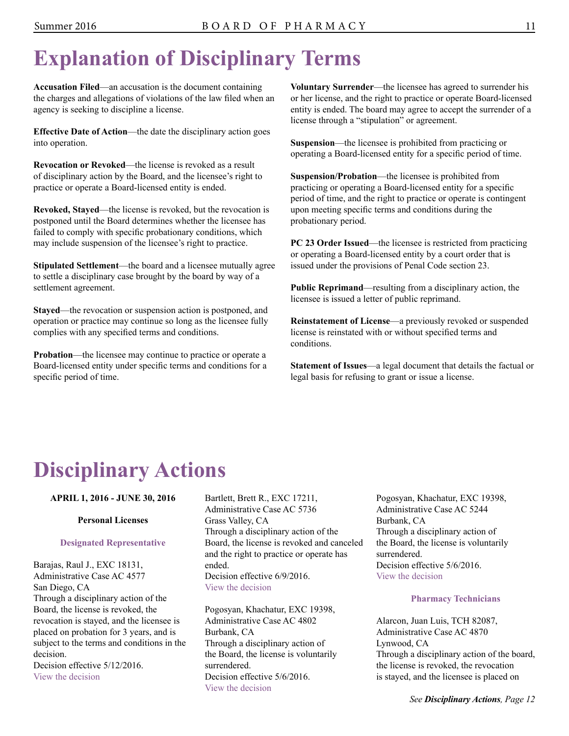# <span id="page-10-0"></span>**Explanation of Disciplinary Terms**

**Accusation Filed**—an accusation is the document containing the charges and allegations of violations of the law filed when an agency is seeking to discipline a license.

**Effective Date of Action**—the date the disciplinary action goes into operation.

**Revocation or Revoked**—the license is revoked as a result of disciplinary action by the Board, and the licensee's right to practice or operate a Board-licensed entity is ended.

**Revoked, Stayed**—the license is revoked, but the revocation is postponed until the Board determines whether the licensee has failed to comply with specific probationary conditions, which may include suspension of the licensee's right to practice.

**Stipulated Settlement**—the board and a licensee mutually agree to settle a disciplinary case brought by the board by way of a settlement agreement.

**Stayed**—the revocation or suspension action is postponed, and operation or practice may continue so long as the licensee fully complies with any specified terms and conditions.

**Probation**—the licensee may continue to practice or operate a Board-licensed entity under specific terms and conditions for a specific period of time.

**Voluntary Surrender**—the licensee has agreed to surrender his or her license, and the right to practice or operate Board-licensed entity is ended. The board may agree to accept the surrender of a license through a "stipulation" or agreement.

**Suspension**—the licensee is prohibited from practicing or operating a Board-licensed entity for a specific period of time.

**Suspension/Probation**—the licensee is prohibited from practicing or operating a Board-licensed entity for a specific period of time, and the right to practice or operate is contingent upon meeting specific terms and conditions during the probationary period.

**PC 23 Order Issued**—the licensee is restricted from practicing or operating a Board-licensed entity by a court order that is issued under the provisions of Penal Code section 23.

**Public Reprimand**—resulting from a disciplinary action, the licensee is issued a letter of public reprimand.

**Reinstatement of License**—a previously revoked or suspended license is reinstated with or without specified terms and conditions.

**Statement of Issues**—a legal document that details the factual or legal basis for refusing to grant or issue a license.

# **Disciplinary Actions**

**APRIL 1, 2016 - JUNE 30, 2016** 

### **Personal Licenses**

### **Designated Representative**

Barajas, Raul J., EXC 18131, Administrative Case AC 4577 San Diego, CA Through a disciplinary action of the Board, the license is revoked, the revocation is stayed, and the licensee is placed on probation for 3 years, and is subject to the terms and conditions in the decision.

Decision effective  $5/12/2016$ . [View the decision](http://www.pharmacy.ca.gov/enforcement/fy1213/ac124577) 

Bartlett, Brett R., EXC 17211, Administrative Case AC 5736 Grass Valley, CA Through a disciplinary action of the Board, the license is revoked and canceled and the right to practice or operate has ended. Decision effective 6/9/2016. [View the decision](http://www.pharmacy.ca.gov/enforcement/fy1516/ac155736.pdf)

Pogosyan, Khachatur, EXC 19398, Administrative Case AC 4802 Burbank, CA Through a disciplinary action of the Board, the license is voluntarily surrendered. Decision effective 5/6/2016. [View the decision](http://www.pharmacy.ca.gov/enforcement/fy1213/ac124802_exc19398.pdf)

Pogosyan, Khachatur, EXC 19398, Administrative Case AC 5244 Burbank, CA Through a disciplinary action of the Board, the license is voluntarily surrendered. Decision effective 5/6/2016 [View the decision](http://www.pharmacy.ca.gov/enforcement/fy1415/ac145244_exc19398.pdf) 

### **Pharmacy Technicians**

Alarcon, Juan Luis, TCH 82087, Administrative Case AC 4870 Lynwood, CA Through a disciplinary action of the board, the license is revoked, the revocation is stayed, and the licensee is placed on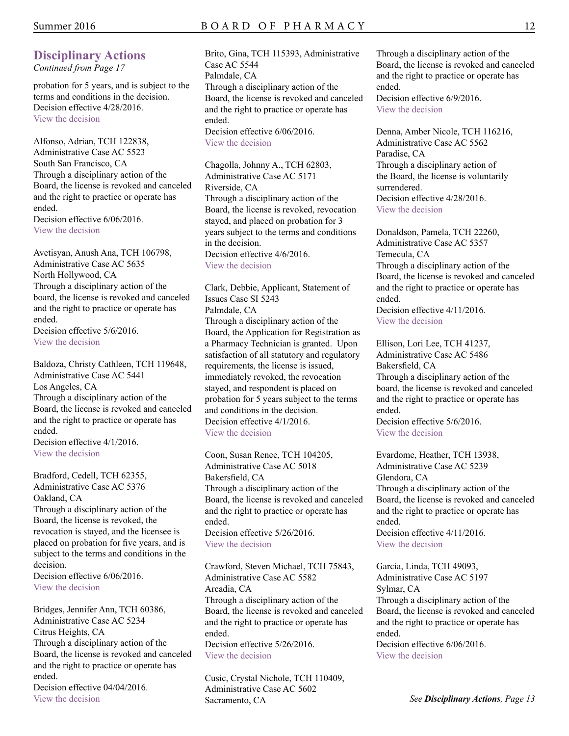### **Disciplinary Actions**

*Continued from Page 17* 

probation for 5 years, and is subject to the terms and conditions in the decision. Decision effective 4/28/2016. [View the decision](http://www.pharmacy.ca.gov/enforcement/fy1314/ac134870.pdf) 

Alfonso, Adrian, TCH 122838, Administrative Case AC 5523 South San Francisco, CA Through a disciplinary action of the Board, the license is revoked and canceled and the right to practice or operate has ended. Decision effective  $6/06/2016$ . [View the decision](http://www.pharmacy.ca.gov/enforcement/fy1415/ac145523.pdf) 

Avetisyan, Anush Ana, TCH 106798, Administrative Case AC 5635 North Hollywood, CA Through a disciplinary action of the board, the license is revoked and canceled and the right to practice or operate has ended. Decision effective  $5/6/2016$ .

[View the decision](http://www.pharmacy.ca.gov/enforcement/fy1516/ac155635.pdf) 

Baldoza, Christy Cathleen, TCH 119648, Administrative Case AC 5441 Los Angeles, CA Through a disciplinary action of the Board, the license is revoked and canceled and the right to practice or operate has ended. Decision effective  $4/1/2016$ . [View the decision](http://www.pharmacy.ca.gov/enforcement/fy1415/ac145441.pdf) 

Bradford, Cedell, TCH 62355, Administrative Case AC 5376 Oakland, CA Through a disciplinary action of the Board, the license is revoked, the revocation is stayed, and the licensee is placed on probation for five years, and is subject to the terms and conditions in the decision. Decision effective  $6/06/2016$ . [View the decision](http://www.pharmacy.ca.gov/enforcement/fy1415/ac145376.pdf) 

Bridges, Jennifer Ann, TCH 60386, Administrative Case AC 5234 Citrus Heights, CA Through a disciplinary action of the Board, the license is revoked and canceled and the right to practice or operate has ended. Decision effective 04/04/2016 [View the decision](http://www.pharmacy.ca.gov/enforcement/fy1314/ac135234.pdf) 

Brito, Gina, TCH 115393, Administrative Case AC 5544 Palmdale, CA Through a disciplinary action of the Board, the license is revoked and canceled and the right to practice or operate has ended. Decision effective 6/06/2016.

[View the decision](http://www.pharmacy.ca.gov/enforcement/fy1516/ac155544.pdf) 

Chagolla, Johnny A., TCH 62803, Administrative Case AC 5171 Riverside, CA Through a disciplinary action of the Board, the license is revoked, revocation stayed, and placed on probation for 3 years subject to the terms and conditions in the decision. Decision effective  $4/6/2016$ . [View the decision](http://www.pharmacy.ca.gov/enforcement/fy1314/ac135171.pdf) 

Clark, Debbie, Applicant, Statement of Issues Case SI 5243 Palmdale, CA Through a disciplinary action of the Board, the Application for Registration as a Pharmacy Technician is granted. Upon satisfaction of all statutory and regulatory requirements, the license is issued, immediately revoked, the revocation stayed, and respondent is placed on probation for 5 years subject to the terms and conditions in the decision. Decision effective 4/1/2016. [View the decision](http://www.pharmacy.ca.gov/enforcement/fy1314/si135243.pdf) 

Coon, Susan Renee, TCH 104205, Administrative Case AC 5018 Bakersfield, CA Through a disciplinary action of the Board, the license is revoked and canceled and the right to practice or operate has ended. Decision effective 5/26/2016. [View the decision](http://www.pharmacy.ca.gov/enforcement/fy1314/ac135018.pdf) 

Crawford, Steven Michael, TCH 75843, Administrative Case AC 5582 Arcadia, CA Through a disciplinary action of the Board, the license is revoked and canceled and the right to practice or operate has ended. Decision effective 5/26/2016. [View the decision](http://www.pharmacy.ca.gov/enforcement/fy1516/ac155582.pdf) 

Cusic, Crystal Nichole, TCH 110409, Administrative Case AC 5602 Sacramento, CA

Through a disciplinary action of the Board, the license is revoked and canceled and the right to practice or operate has ended. Decision effective  $6/9/2016$ . [View the decision](http://www.pharmacy.ca.gov/enforcement/fy1516/ac155602.pdf) 

Denna, Amber Nicole, TCH 116216, Administrative Case AC 5562 Paradise, CA Through a disciplinary action of the Board, the license is voluntarily surrendered. Decision effective  $4/28/2016$ . [View the decision](http://www.pharmacy.ca.gov/enforcement/fy1516/ac155562.pdf) 

Donaldson, Pamela, TCH 22260, Administrative Case AC 5357 Temecula, CA Through a disciplinary action of the Board, the license is revoked and canceled and the right to practice or operate has ended. Decision effective  $4/11/2016$ . [View the decision](http://www.pharmacy.ca.gov/enforcement/fy1415/ac145357.pdf) 

Ellison, Lori Lee, TCH 41237, Administrative Case AC 5486 Bakersfield, CA Through a disciplinary action of the board, the license is revoked and canceled and the right to practice or operate has ended. Decision effective  $5/6/2016$ . [View the decision](http://www.pharmacy.ca.gov/enforcement/fy1415/ac145486.pdf) 

Evardome, Heather, TCH 13938, Administrative Case AC 5239 Glendora, CA Through a disciplinary action of the Board, the license is revoked and canceled and the right to practice or operate has ended. Decision effective  $4/11/2016$ . [View the decision](http://www.pharmacy.ca.gov/enforcement/fy1314/ac135239_tch13938.pdf) 

Garcia, Linda, TCH 49093, Administrative Case AC 5197 Sylmar, CA Through a disciplinary action of the Board, the license is revoked and canceled and the right to practice or operate has ended. Decision effective  $6/06/2016$ .

[View the decision](http://www.pharmacy.ca.gov/enforcement/fy1314/ac135197.pdf)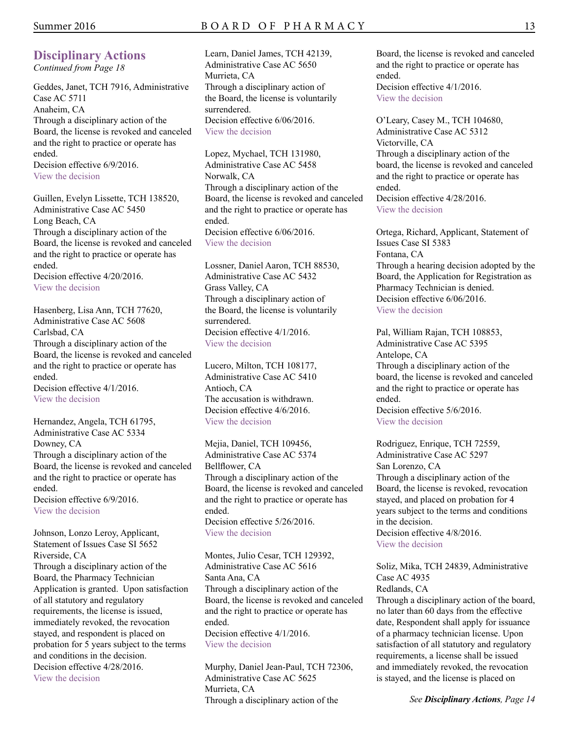*Continued from Page 18* 

Geddes, Janet, TCH 7916, Administrative Case AC 5711 Anaheim, CA Through a disciplinary action of the Board, the license is revoked and canceled and the right to practice or operate has ended. Decision effective  $6/9/2016$ .

[View the decision](http://www.pharmacy.ca.gov/enforcement/fy1516/ac155711.pdf) 

Guillen, Evelyn Lissette, TCH 138520, Administrative Case AC 5450 Long Beach, CA Through a disciplinary action of the Board, the license is revoked and canceled and the right to practice or operate has ended.

Decision effective  $4/20/2016$ . [View the decision](http://www.pharmacy.ca.gov/enforcement/fy1415/ac145450.pdf) 

Hasenberg, Lisa Ann, TCH 77620, Administrative Case AC 5608 Carlsbad, CA Through a disciplinary action of the Board, the license is revoked and canceled and the right to practice or operate has ended. Decision effective  $4/1/2016$ .

[View the decision](http://www.pharmacy.ca.gov/enforcement/fy1516/ac155608.pdf) 

Hernandez, Angela, TCH 61795, Administrative Case AC 5334 Downey, CA Through a disciplinary action of the Board, the license is revoked and canceled and the right to practice or operate has ended. Decision effective 6/9/2016. [View the decision](http://www.pharmacy.ca.gov/enforcement/fy1415/ac145334.pdf) 

Johnson, Lonzo Leroy, Applicant, Statement of Issues Case SI 5652 Riverside, CA Through a disciplinary action of the Board, the Pharmacy Technician Application is granted. Upon satisfaction of all statutory and regulatory requirements, the license is issued, immediately revoked, the revocation stayed, and respondent is placed on probation for 5 years subject to the terms and conditions in the decision. Decision effective  $4/28/2016$ . [View the decision](http://www.pharmacy.ca.gov/enforcement/fy1516/si155652.pdf) 

Learn, Daniel James, TCH 42139, Administrative Case AC 5650 Murrieta, CA Through a disciplinary action of the Board, the license is voluntarily surrendered. Decision effective  $6/06/2016$ . [View the decision](http://www.pharmacy.ca.gov/enforcement/fy1516/ac155650.pdf) 

Lopez, Mychael, TCH 131980, Administrative Case AC 5458 Norwalk, CA Through a disciplinary action of the Board, the license is revoked and canceled and the right to practice or operate has ended. Decision effective  $6/06/2016$ . [View the decision](http://www.pharmacy.ca.gov/enforcement/fy1415/ac145458.pdf) 

Lossner, Daniel Aaron, TCH 88530, Administrative Case AC 5432 Grass Valley, CA Through a disciplinary action of the Board, the license is voluntarily surrendered. Decision effective 4/1/2016. [View the decision](http://www.pharmacy.ca.gov/enforcement/fy1415/ac145432.pdf) 

Lucero, Milton, TCH 108177, Administrative Case AC 5410 Antioch, CA The accusation is withdrawn. Decision effective  $4/6/2016$ . [View the decision](http://www.pharmacy.ca.gov/enforcement/fy1415/ac145410.pdf) 

Mejia, Daniel, TCH 109456, Administrative Case AC 5374 Bellflower, CA Through a disciplinary action of the Board, the license is revoked and canceled and the right to practice or operate has ended. Decision effective 5/26/2016. [View the decision](http://www.pharmacy.ca.gov/enforcement/fy1415/ac145374.pdf) 

Montes, Julio Cesar, TCH 129392, Administrative Case AC 5616 Santa Ana, CA Through a disciplinary action of the Board, the license is revoked and canceled and the right to practice or operate has ended. Decision effective 4/1/2016. [View the decision](http://www.pharmacy.ca.gov/enforcement/fy1516/ac155616.pdf) 

Murphy, Daniel Jean-Paul, TCH 72306, Administrative Case AC 5625 Murrieta, CA Through a disciplinary action of the

Board, the license is revoked and canceled and the right to practice or operate has ended. Decision effective  $4/1/2016$ . [View the decision](http://www.pharmacy.ca.gov/enforcement/fy1516/ac155625.pdf) 

O'Leary, Casey M., TCH 104680, Administrative Case AC 5312 Victorville, CA Through a disciplinary action of the board, the license is revoked and canceled and the right to practice or operate has ended. Decision effective  $4/28/2016$ . [View the decision](http://www.pharmacy.ca.gov/enforcement/fy1415/ac145312.pdf) 

Ortega, Richard, Applicant, Statement of Issues Case SI 5383 Fontana, CA Through a hearing decision adopted by the Board, the Application for Registration as Pharmacy Technician is denied. Decision effective  $6/06/2016$ . [View the decision](http://www.pharmacy.ca.gov/enforcement/fy1415/si145383.pdf) 

Pal, William Rajan, TCH 108853, Administrative Case AC 5395 Antelope, CA Through a disciplinary action of the board, the license is revoked and canceled and the right to practice or operate has ended. Decision effective  $5/6/2016$ . [View the decision](http://www.pharmacy.ca.gov/enforcement/fy1415/ac145395.pdf) 

Rodriguez, Enrique, TCH 72559, Administrative Case AC 5297 San Lorenzo, CA Through a disciplinary action of the Board, the license is revoked, revocation stayed, and placed on probation for 4 years subject to the terms and conditions in the decision. Decision effective  $4/8/2016$ . [View the decision](http://www.pharmacy.ca.gov/enforcement/fy1415/ac145297.pdf) 

Soliz, Mika, TCH 24839, Administrative Case AC 4935

Redlands, CA Through a disciplinary action of the board, no later than 60 days from the effective date, Respondent shall apply for issuance of a pharmacy technician license. Upon satisfaction of all statutory and regulatory requirements, a license shall be issued and immediately revoked, the revocation is stayed, and the license is placed on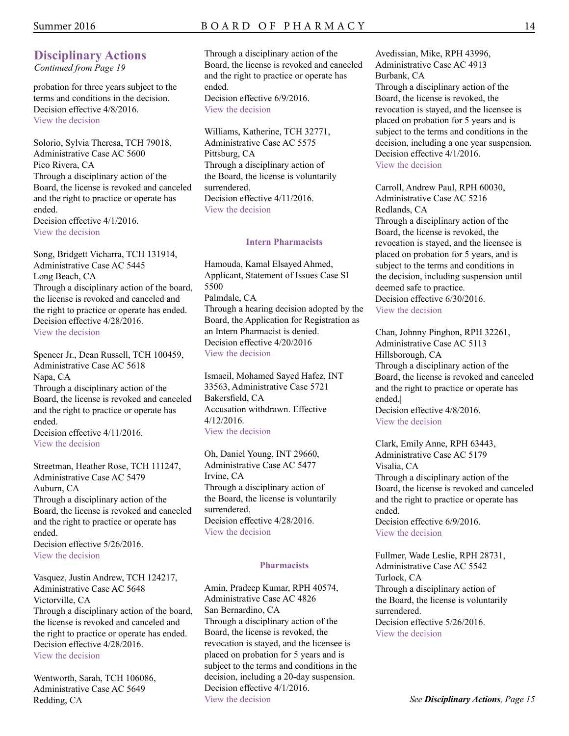### Summer 2016 B O A R D O F P H A R M A C Y

### **Disciplinary Actions**

*Continued from Page 19* 

probation for three years subject to the terms and conditions in the decision. Decision effective  $4/8/2016$ . [View the decision](http://www.pharmacy.ca.gov/enforcement/fy1314/ac134935.pdf) 

Solorio, Sylvia Theresa, TCH 79018, Administrative Case AC 5600 Pico Rivera, CA Through a disciplinary action of the Board, the license is revoked and canceled and the right to practice or operate has ended. Decision effective  $4/1/2016$ . [View the decision](http://www.pharmacy.ca.gov/enforcement/fy1516/ac155600.pdf) 

Song, Bridgett Vicharra, TCH 131914, Administrative Case AC 5445 Long Beach, CA Through a disciplinary action of the board, the license is revoked and canceled and the right to practice or operate has ended. Decision effective 4/28/2016. [View the decision](http://www.pharmacy.ca.gov/enforcement/fy1415/ac145445.pdf) 

Spencer Jr., Dean Russell, TCH 100459, Administrative Case AC 5618 Napa, CA Through a disciplinary action of the Board, the license is revoked and canceled and the right to practice or operate has ended. Decision effective  $4/11/2016$ . [View the decision](http://www.pharmacy.ca.gov/enforcement/fy1516/ac155618.pdf) 

Streetman, Heather Rose, TCH 111247, Administrative Case AC 5479 Auburn, CA Through a disciplinary action of the Board, the license is revoked and canceled and the right to practice or operate has ended. Decision effective  $5/26/2016$ .

[View the decision](http://www.pharmacy.ca.gov/enforcement/fy1415/ac145479.pdf) 

Vasquez, Justin Andrew, TCH 124217, Administrative Case AC 5648 Victorville, CA Through a disciplinary action of the board, the license is revoked and canceled and the right to practice or operate has ended. Decision effective  $4/28/2016$ . [View the decision](http://www.pharmacy.ca.gov/enforcement/fy1516/ac155648.pdf) 

Wentworth, Sarah, TCH 106086, Administrative Case AC 5649 Redding, CA

### Through a disciplinary action of the Board, the license is revoked and canceled and the right to practice or operate has ended. Decision effective 6/9/2016.

[View the decision](http://www.pharmacy.ca.gov/enforcement/fy1516/ac155649.pdf) 

Williams, Katherine, TCH 32771, Administrative Case AC 5575 Pittsburg, CA Through a disciplinary action of the Board, the license is voluntarily surrendered. Decision effective 4/11/2016. [View the decision](http://www.pharmacy.ca.gov/enforcement/fy1516/ac155575.pdf) 

#### **Intern Pharmacists**

Hamouda, Kamal Elsayed Ahmed, Applicant, Statement of Issues Case SI 5500 Palmdale, CA Through a hearing decision adopted by the Board, the Application for Registration as an Intern Pharmacist is denied. Decision effective 4/20/2016 [View the decision](http://www.pharmacy.ca.gov/enforcement/fy1415/si145500.pdf) 

Ismaeil, Mohamed Sayed Hafez, INT 33563, Administrative Case 5721 Bakersfield, CA Accusation withdrawn. Effective 4/12/2016. [View the decision](http://www.pharmacy.ca.gov/enforcement/accusations/ac145476.pdf) 

Oh, Daniel Young, INT 29660, Administrative Case AC 5477 Irvine, CA Through a disciplinary action of the Board, the license is voluntarily surrendered. Decision effective 4/28/2016. [View the decision](http://www.pharmacy.ca.gov/enforcement/fy1415/ac145477.pdf) 

### **Pharmacists**

Amin, Pradeep Kumar, RPH 40574, Administrative Case AC 4826 San Bernardino, CA Through a disciplinary action of the Board, the license is revoked, the revocation is stayed, and the licensee is placed on probation for 5 years and is subject to the terms and conditions in the decision, including a 20-day suspension. Decision effective 4/1/2016. [View the decision](http://www.pharmacy.ca.gov/enforcement/fy1213/ac124826_rph40574.pdf) 

Avedissian, Mike, RPH 43996, Administrative Case AC 4913 Burbank, CA Through a disciplinary action of the Board, the license is revoked, the revocation is stayed, and the licensee is placed on probation for 5 years and is subject to the terms and conditions in the decision, including a one year suspension. Decision effective 4/1/2016. [View the decision](http://www.pharmacy.ca.gov/enforcement/fy1314/ac134913_rph43996.pdf) 

Carroll, Andrew Paul, RPH 60030, Administrative Case AC 5216 Redlands, CA Through a disciplinary action of the Board, the license is revoked, the revocation is stayed, and the licensee is placed on probation for 5 years, and is subject to the terms and conditions in the decision, including suspension until deemed safe to practice. Decision effective  $6/30/2016$ . [View the decision](http://www.pharmacy.ca.gov/enforcement/fy1314/ac135216.pdf) 

Chan, Johnny Pinghon, RPH 32261, Administrative Case AC 5113 Hillsborough, CA Through a disciplinary action of the Board, the license is revoked and canceled and the right to practice or operate has ended.| Decision effective 4/8/2016. [View the decision](http://www.pharmacy.ca.gov/enforcement/fy1314/ac135113.pdf) 

Clark, Emily Anne, RPH 63443, Administrative Case AC 5179 Visalia, CA Through a disciplinary action of the Board, the license is revoked and canceled and the right to practice or operate has ended. Decision effective 6/9/2016. [View the decision](http://www.pharmacy.ca.gov/enforcement/fy1314/ac135179.pdf) 

Fullmer, Wade Leslie, RPH 28731, Administrative Case AC 5542 Turlock, CA Through a disciplinary action of the Board, the license is voluntarily surrendered. Decision effective  $5/26/2016$ . [View the decision](http://www.pharmacy.ca.gov/enforcement/fy1516/ac155542.pdf)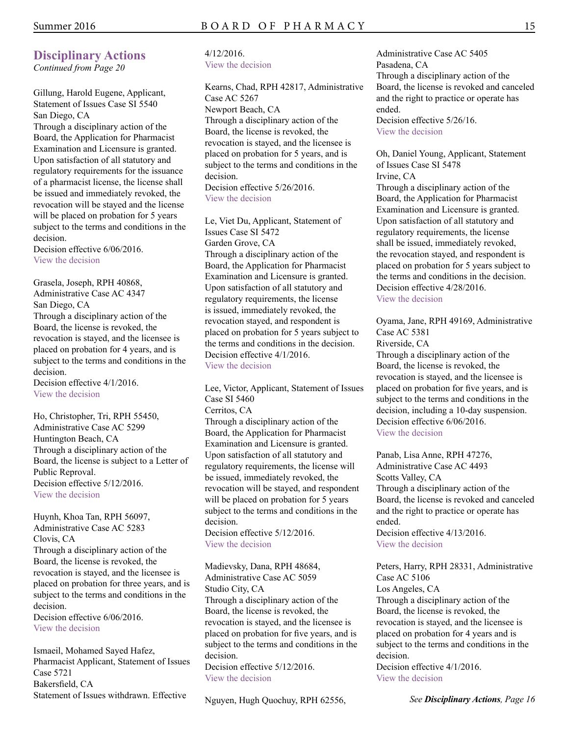### **Disciplinary Actions**

*Continued from Page 20* 

Gillung, Harold Eugene, Applicant, Statement of Issues Case SI 5540 San Diego, CA

Through a disciplinary action of the Board, the Application for Pharmacist Examination and Licensure is granted. Upon satisfaction of all statutory and regulatory requirements for the issuance of a pharmacist license, the license shall be issued and immediately revoked, the revocation will be stayed and the license will be placed on probation for 5 years subject to the terms and conditions in the decision.

Decision effective  $6/06/2016$ . [View the decision](http://www.pharmacy.ca.gov/enforcement/fy1516/si155540.pdf) 

Grasela, Joseph, RPH 40868, Administrative Case AC 4347 San Diego, CA Through a disciplinary action of the Board, the license is revoked, the revocation is stayed, and the licensee is placed on probation for 4 years, and is subject to the terms and conditions in the decision.

Decision effective 4/1/2016. [View the decision](http://www.pharmacy.ca.gov/enforcement/fy1112/ac114347.pdf) 

Ho, Christopher, Tri, RPH 55450, Administrative Case AC 5299 Huntington Beach, CA Through a disciplinary action of the Board, the license is subject to a Letter of Public Reproval. Decision effective  $5/12/2016$ . [View the decision](http://www.pharmacy.ca.gov/enforcement/fy1415/ac145299_rph55450.pdf) 

Huynh, Khoa Tan, RPH 56097, Administrative Case AC 5283 Clovis, CA Through a disciplinary action of the Board, the license is revoked, the revocation is stayed, and the licensee is placed on probation for three years, and is subject to the terms and conditions in the decision.

Decision effective  $6/06/2016$ . [View the decision](http://www.pharmacy.ca.gov/enforcement/fy1415/ac145283_rph56097.pdf) 

Ismaeil, Mohamed Sayed Hafez, Pharmacist Applicant, Statement of Issues Case 5721 Bakersfield, CA Statement of Issues withdrawn. Effective

### 4/12/2016. [View the decision](http://www.pharmacy.ca.gov/enforcement/accusations/si155721.pdf)

Kearns, Chad, RPH 42817, Administrative Case AC 5267 Newport Beach, CA Through a disciplinary action of the Board, the license is revoked, the revocation is stayed, and the licensee is placed on probation for 5 years, and is subject to the terms and conditions in the decision. Decision effective 5/26/2016.

[View the decision](http://www.pharmacy.ca.gov/enforcement/fy1415/ac145267.pdf) 

Le, Viet Du, Applicant, Statement of Issues Case SI 5472 Garden Grove, CA Through a disciplinary action of the Board, the Application for Pharmacist Examination and Licensure is granted. Upon satisfaction of all statutory and regulatory requirements, the license is issued, immediately revoked, the revocation stayed, and respondent is placed on probation for 5 years subject to the terms and conditions in the decision. Decision effective 4/1/2016. [View the decision](http://www.pharmacy.ca.gov/enforcement/fy1415/si145472.pdf) 

Lee, Victor, Applicant, Statement of Issues Case SI 5460 Cerritos, CA Through a disciplinary action of the Board, the Application for Pharmacist Examination and Licensure is granted. Upon satisfaction of all statutory and regulatory requirements, the license will be issued, immediately revoked, the revocation will be stayed, and respondent will be placed on probation for 5 years subject to the terms and conditions in the decision.

Decision effective 5/12/2016. [View the decision](http://www.pharmacy.ca.gov/enforcement/fy1415/si145460.pdf) 

Madievsky, Dana, RPH 48684, Administrative Case AC 5059 Studio City, CA Through a disciplinary action of the Board, the license is revoked, the revocation is stayed, and the licensee is placed on probation for five years, and is subject to the terms and conditions in the decision.

Decision effective  $5/12/2016$ . [View the decision](http://www.pharmacy.ca.gov/enforcement/fy1314/ac135059.pdf) 

Nguyen, Hugh Quochuy, RPH 62556,

Administrative Case AC 5405 Pasadena, CA Through a disciplinary action of the Board, the license is revoked and canceled and the right to practice or operate has ended. Decision effective  $5/26/16$ .

[View the decision](http://www.pharmacy.ca.gov/enforcement/fy1415/ac145405.pdf) 

Oh, Daniel Young, Applicant, Statement of Issues Case SI 5478 Irvine, CA

Through a disciplinary action of the Board, the Application for Pharmacist Examination and Licensure is granted. Upon satisfaction of all statutory and regulatory requirements, the license shall be issued, immediately revoked, the revocation stayed, and respondent is placed on probation for 5 years subject to the terms and conditions in the decision. Decision effective  $4/28/2016$ . [View the decision](http://www.pharmacy.ca.gov/enforcement/fy1415/si145478.pdf) 

Oyama, Jane, RPH 49169, Administrative Case AC 5381 Riverside, CA Through a disciplinary action of the Board, the license is revoked, the revocation is stayed, and the licensee is placed on probation for five years, and is subject to the terms and conditions in the decision, including a 10-day suspension. Decision effective  $6/06/2016$ .

[View the decision](http://www.pharmacy.ca.gov/enforcement/fy1415/si145478.pdf) 

Panab, Lisa Anne, RPH 47276, Administrative Case AC 4493 Scotts Valley, CA Through a disciplinary action of the Board, the license is revoked and canceled and the right to practice or operate has ended. Decision effective  $4/13/2016$ . [View the decision](http://www.pharmacy.ca.gov/enforcement/fy1213/ac124493.pdf) 

Peters, Harry, RPH 28331, Administrative Case AC 5106 Los Angeles, CA Through a disciplinary action of the Board, the license is revoked, the revocation is stayed, and the licensee is placed on probation for 4 years and is subject to the terms and conditions in the decision. Decision effective  $4/1/2016$ .

[View the decision](http://www.pharmacy.ca.gov/enforcement/fy1314/ac135106.pdf)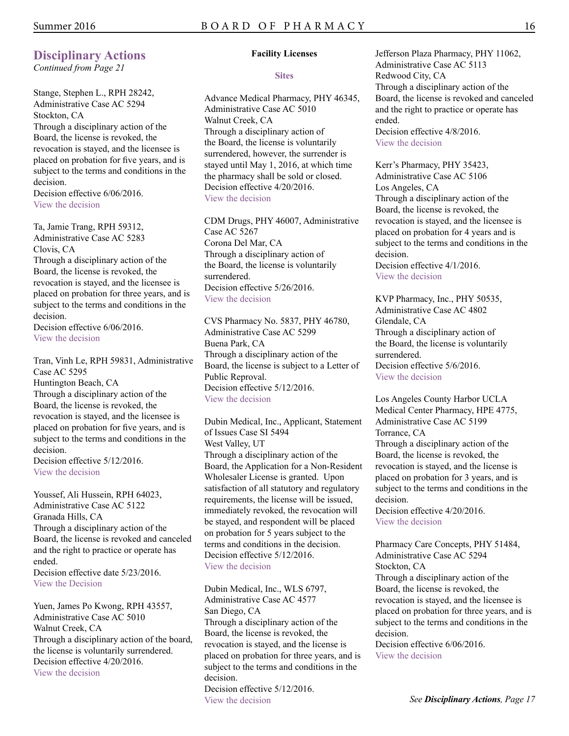*Continued from Page 21* 

Stange, Stephen L., RPH 28242, Administrative Case AC 5294 Stockton, CA Through a disciplinary action of the Board, the license is revoked, the revocation is stayed, and the licensee is placed on probation for five years, and is subject to the terms and conditions in the decision. Decision effective  $6/06/2016$ .

[View the decision](http://www.pharmacy.ca.gov/enforcement/fy1415/ac145294_rph28242.pdf) 

Ta, Jamie Trang, RPH 59312, Administrative Case AC 5283 Clovis, CA Through a disciplinary action of the Board, the license is revoked, the revocation is stayed, and the licensee is placed on probation for three years, and is subject to the terms and conditions in the decision.

Decision effective  $6/06/2016$ . [View the decision](http://www.pharmacy.ca.gov/enforcement/fy1415/ac145283_rph59312.pdf) 

Tran, Vinh Le, RPH 59831, Administrative Case AC 5295 Huntington Beach, CA Through a disciplinary action of the Board, the license is revoked, the revocation is stayed, and the licensee is placed on probation for five years, and is subject to the terms and conditions in the decision. Decision effective 5/12/2016.

[View the decision](http://www.pharmacy.ca.gov/enforcement/fy1415/ac145295.pdf) 

Youssef, Ali Hussein, RPH 64023, Administrative Case AC 5122 Granada Hills, CA Through a disciplinary action of the Board, the license is revoked and canceled and the right to practice or operate has ended. Decision effective date 5/23/2016. [View the Decision](http://www.pharmacy.ca.gov/enforcement/fy1314/ac135122.pdf) 

Yuen, James Po Kwong, RPH 43557, Administrative Case AC 5010 Walnut Creek, CA Through a disciplinary action of the board, the license is voluntarily surrendered. Decision effective 4/20/2016. [View the decision](http://www.pharmacy.ca.gov/enforcement/fy1314/ac135010.pdf) 

#### **Facility Licenses**

**Sites** 

Advance Medical Pharmacy, PHY 46345, Administrative Case AC 5010 Walnut Creek, CA Through a disciplinary action of the Board, the license is voluntarily surrendered, however, the surrender is stayed until May 1, 2016, at which time the pharmacy shall be sold or closed. Decision effective 4/20/2016. [View the decision](http://www.pharmacy.ca.gov/enforcement/fy1314/ac135010.pdf) 

CDM Drugs, PHY 46007, Administrative Case AC 5267 Corona Del Mar, CA Through a disciplinary action of the Board, the license is voluntarily surrendered. Decision effective 5/26/2016. [View the decision](http://www.pharmacy.ca.gov/enforcement/fy1415/ac145267.pdf) 

CVS Pharmacy No. 5837, PHY 46780, Administrative Case AC 5299 Buena Park, CA Through a disciplinary action of the Board, the license is subject to a Letter of Public Reproval. Decision effective 5/12/2016. [View the decision](http://www.pharmacy.ca.gov/enforcement/fy1415/ac145299_phy46780.pdf) 

Dubin Medical, Inc., Applicant, Statement of Issues Case SI 5494 West Valley, UT Through a disciplinary action of the Board, the Application for a Non-Resident Wholesaler License is granted. Upon satisfaction of all statutory and regulatory requirements, the license will be issued, immediately revoked, the revocation will be stayed, and respondent will be placed on probation for 5 years subject to the terms and conditions in the decision. Decision effective 5/12/2016 [View the decision](http://www.pharmacy.ca.gov/enforcement/fy1415/si145494.pdf) 

Dubin Medical, Inc., WLS 6797, Administrative Case AC 4577 San Diego, CA Through a disciplinary action of the Board, the license is revoked, the revocation is stayed, and the license is placed on probation for three years, and is subject to the terms and conditions in the decision. Decision effective 5/12/2016. [View the decision](http://www.pharmacy.ca.gov/enforcement/fy1213/ac124577.pdf) 

Jefferson Plaza Pharmacy, PHY 11062, Administrative Case AC 5113 Redwood City, CA Through a disciplinary action of the Board, the license is revoked and canceled and the right to practice or operate has ended. Decision effective 4/8/2016. [View the decision](http://www.pharmacy.ca.gov/enforcement/fy1314/ac135113.pdf) 

Kerr's Pharmacy, PHY 35423, Administrative Case AC 5106 Los Angeles, CA Through a disciplinary action of the Board, the license is revoked, the revocation is stayed, and the licensee is placed on probation for 4 years and is subject to the terms and conditions in the decision. Decision effective 4/1/2016. [View the decision](http://www.pharmacy.ca.gov/enforcement/fy1314/ac135106.pdf) 

KVP Pharmacy, Inc., PHY 50535, Administrative Case AC 4802 Glendale, CA Through a disciplinary action of the Board, the license is voluntarily surrendered. Decision effective  $5/6/2016$ . [View the decision](http://www.pharmacy.ca.gov/enforcement/fy1213/ac124802_phy50535.pdf) 

Los Angeles County Harbor UCLA Medical Center Pharmacy, HPE 4775, Administrative Case AC 5199 Torrance, CA Through a disciplinary action of the Board, the license is revoked, the revocation is stayed, and the license is placed on probation for 3 years, and is subject to the terms and conditions in the decision. Decision effective  $4/20/2016$ .

[View the decision](http://www.pharmacy.ca.gov/enforcement/fy1314/ac135199.pdf) 

Pharmacy Care Concepts, PHY 51484, Administrative Case AC 5294 Stockton, CA Through a disciplinary action of the Board, the license is revoked, the revocation is stayed, and the licensee is placed on probation for three years, and is subject to the terms and conditions in the decision.

Decision effective  $6/06/2016$ . [View the decision](http://www.pharmacy.ca.gov/enforcement/fy1415/ac145294_phy51484.pdf)